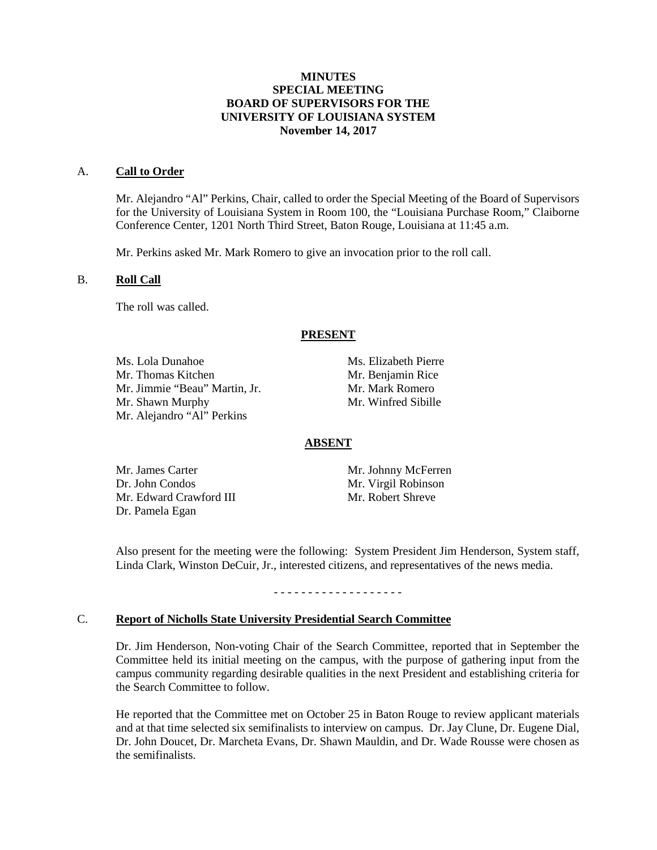## **MINUTES SPECIAL MEETING BOARD OF SUPERVISORS FOR THE UNIVERSITY OF LOUISIANA SYSTEM November 14, 2017**

### A. **Call to Order**

Mr. Alejandro "Al" Perkins, Chair, called to order the Special Meeting of the Board of Supervisors for the University of Louisiana System in Room 100, the "Louisiana Purchase Room," Claiborne Conference Center, 1201 North Third Street, Baton Rouge, Louisiana at 11:45 a.m.

Mr. Perkins asked Mr. Mark Romero to give an invocation prior to the roll call.

## B. **Roll Call**

The roll was called.

## **PRESENT**

Ms. Lola Dunahoe Ms. Elizabeth Pierre Mr. Thomas Kitchen Mr. Benjamin Rice Mr. Jimmie "Beau" Martin, Jr. Mr. Mark Romero Mr. Shawn Murphy Mr. Winfred Sibille Mr. Alejandro "Al" Perkins

# **ABSENT**

Mr. James Carter Mr. Johnny McFerren Dr. John Condos Mr. Virgil Robinson<br>Mr. Edward Crawford III Mr. Robert Shreve Mr. Edward Crawford III Dr. Pamela Egan

Also present for the meeting were the following: System President Jim Henderson, System staff, Linda Clark, Winston DeCuir, Jr., interested citizens, and representatives of the news media.

- - - - - - - - - - - - - - - - - - -

## C. **Report of Nicholls State University Presidential Search Committee**

Dr. Jim Henderson, Non-voting Chair of the Search Committee, reported that in September the Committee held its initial meeting on the campus, with the purpose of gathering input from the campus community regarding desirable qualities in the next President and establishing criteria for the Search Committee to follow.

He reported that the Committee met on October 25 in Baton Rouge to review applicant materials and at that time selected six semifinalists to interview on campus. Dr. Jay Clune, Dr. Eugene Dial, Dr. John Doucet, Dr. Marcheta Evans, Dr. Shawn Mauldin, and Dr. Wade Rousse were chosen as the semifinalists.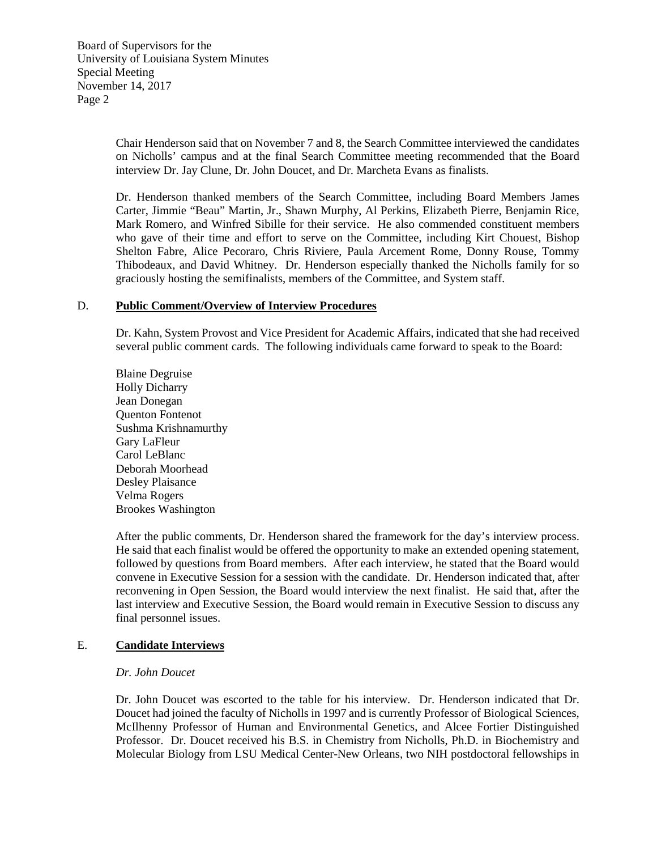Board of Supervisors for the University of Louisiana System Minutes Special Meeting November 14, 2017 Page 2

> Chair Henderson said that on November 7 and 8, the Search Committee interviewed the candidates on Nicholls' campus and at the final Search Committee meeting recommended that the Board interview Dr. Jay Clune, Dr. John Doucet, and Dr. Marcheta Evans as finalists.

> Dr. Henderson thanked members of the Search Committee, including Board Members James Carter, Jimmie "Beau" Martin, Jr., Shawn Murphy, Al Perkins, Elizabeth Pierre, Benjamin Rice, Mark Romero, and Winfred Sibille for their service. He also commended constituent members who gave of their time and effort to serve on the Committee, including Kirt Chouest, Bishop Shelton Fabre, Alice Pecoraro, Chris Riviere, Paula Arcement Rome, Donny Rouse, Tommy Thibodeaux, and David Whitney. Dr. Henderson especially thanked the Nicholls family for so graciously hosting the semifinalists, members of the Committee, and System staff.

## D. **Public Comment/Overview of Interview Procedures**

Dr. Kahn, System Provost and Vice President for Academic Affairs, indicated that she had received several public comment cards. The following individuals came forward to speak to the Board:

Blaine Degruise Holly Dicharry Jean Donegan Quenton Fontenot Sushma Krishnamurthy Gary LaFleur Carol LeBlanc Deborah Moorhead Desley Plaisance Velma Rogers Brookes Washington

After the public comments, Dr. Henderson shared the framework for the day's interview process. He said that each finalist would be offered the opportunity to make an extended opening statement, followed by questions from Board members. After each interview, he stated that the Board would convene in Executive Session for a session with the candidate. Dr. Henderson indicated that, after reconvening in Open Session, the Board would interview the next finalist. He said that, after the last interview and Executive Session, the Board would remain in Executive Session to discuss any final personnel issues.

## E. **Candidate Interviews**

## *Dr. John Doucet*

Dr. John Doucet was escorted to the table for his interview. Dr. Henderson indicated that Dr. Doucet had joined the faculty of Nicholls in 1997 and is currently Professor of Biological Sciences, McIlhenny Professor of Human and Environmental Genetics, and Alcee Fortier Distinguished Professor. Dr. Doucet received his B.S. in Chemistry from Nicholls, Ph.D. in Biochemistry and Molecular Biology from LSU Medical Center-New Orleans, two NIH postdoctoral fellowships in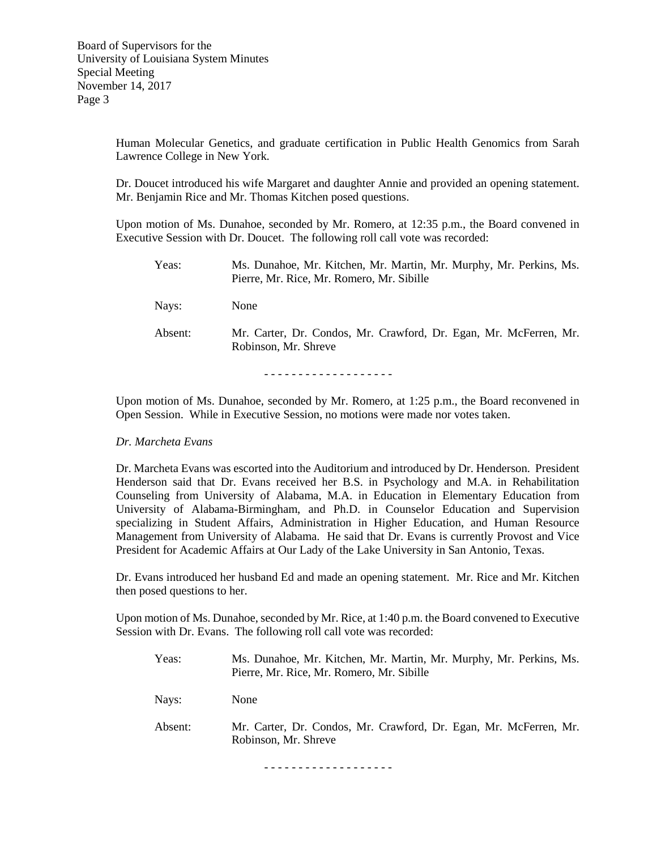Human Molecular Genetics, and graduate certification in Public Health Genomics from Sarah Lawrence College in New York.

Dr. Doucet introduced his wife Margaret and daughter Annie and provided an opening statement. Mr. Benjamin Rice and Mr. Thomas Kitchen posed questions.

Upon motion of Ms. Dunahoe, seconded by Mr. Romero, at 12:35 p.m., the Board convened in Executive Session with Dr. Doucet. The following roll call vote was recorded:

| Yeas:   | Ms. Dunahoe, Mr. Kitchen, Mr. Martin, Mr. Murphy, Mr. Perkins, Ms.<br>Pierre, Mr. Rice, Mr. Romero, Mr. Sibille |
|---------|-----------------------------------------------------------------------------------------------------------------|
| Nays:   | None                                                                                                            |
| Absent: | Mr. Carter, Dr. Condos, Mr. Crawford, Dr. Egan, Mr. McFerren, Mr.<br>Robinson, Mr. Shreve                       |

- - - - - - - - - - - - - - - - - - -

Upon motion of Ms. Dunahoe, seconded by Mr. Romero, at 1:25 p.m., the Board reconvened in Open Session. While in Executive Session, no motions were made nor votes taken.

#### *Dr. Marcheta Evans*

Dr. Marcheta Evans was escorted into the Auditorium and introduced by Dr. Henderson. President Henderson said that Dr. Evans received her B.S. in Psychology and M.A. in Rehabilitation Counseling from University of Alabama, M.A. in Education in Elementary Education from University of Alabama-Birmingham, and Ph.D. in Counselor Education and Supervision specializing in Student Affairs, Administration in Higher Education, and Human Resource Management from University of Alabama. He said that Dr. Evans is currently Provost and Vice President for Academic Affairs at Our Lady of the Lake University in San Antonio, Texas.

Dr. Evans introduced her husband Ed and made an opening statement. Mr. Rice and Mr. Kitchen then posed questions to her.

Upon motion of Ms. Dunahoe, seconded by Mr. Rice, at 1:40 p.m. the Board convened to Executive Session with Dr. Evans. The following roll call vote was recorded:

| Yeas:   | Ms. Dunahoe, Mr. Kitchen, Mr. Martin, Mr. Murphy, Mr. Perkins, Ms.<br>Pierre, Mr. Rice, Mr. Romero, Mr. Sibille |
|---------|-----------------------------------------------------------------------------------------------------------------|
| Nays:   | None                                                                                                            |
| Absent: | Mr. Carter, Dr. Condos, Mr. Crawford, Dr. Egan, Mr. McFerren, Mr.<br>Robinson, Mr. Shreve                       |

- - - - - - - - - - - - - - - - - - -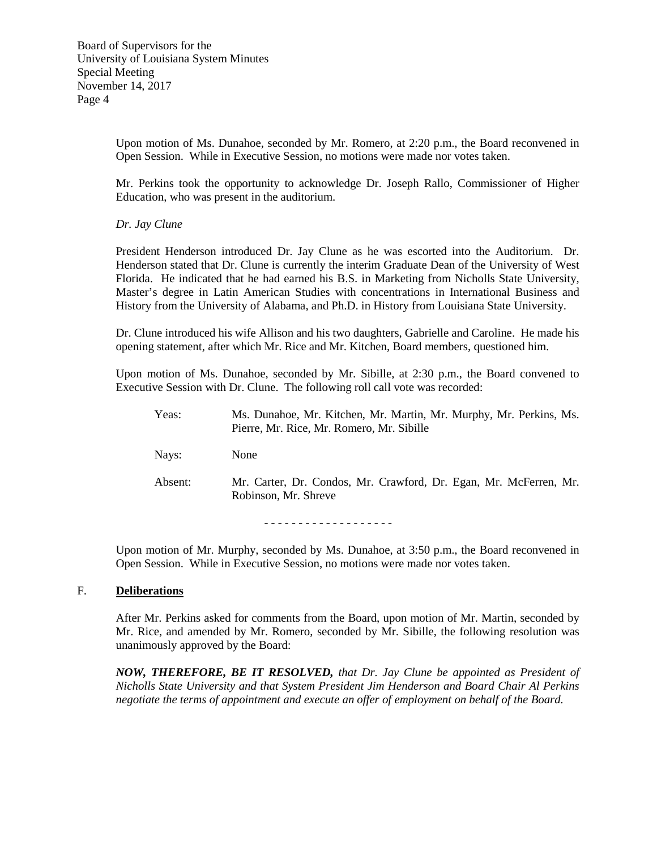Board of Supervisors for the University of Louisiana System Minutes Special Meeting November 14, 2017 Page 4

> Upon motion of Ms. Dunahoe, seconded by Mr. Romero, at 2:20 p.m., the Board reconvened in Open Session. While in Executive Session, no motions were made nor votes taken.

> Mr. Perkins took the opportunity to acknowledge Dr. Joseph Rallo, Commissioner of Higher Education, who was present in the auditorium.

*Dr. Jay Clune*

President Henderson introduced Dr. Jay Clune as he was escorted into the Auditorium. Dr. Henderson stated that Dr. Clune is currently the interim Graduate Dean of the University of West Florida. He indicated that he had earned his B.S. in Marketing from Nicholls State University, Master's degree in Latin American Studies with concentrations in International Business and History from the University of Alabama, and Ph.D. in History from Louisiana State University.

Dr. Clune introduced his wife Allison and his two daughters, Gabrielle and Caroline. He made his opening statement, after which Mr. Rice and Mr. Kitchen, Board members, questioned him.

Upon motion of Ms. Dunahoe, seconded by Mr. Sibille, at 2:30 p.m., the Board convened to Executive Session with Dr. Clune. The following roll call vote was recorded:

| Yeas:   | Ms. Dunahoe, Mr. Kitchen, Mr. Martin, Mr. Murphy, Mr. Perkins, Ms.<br>Pierre, Mr. Rice, Mr. Romero, Mr. Sibille |
|---------|-----------------------------------------------------------------------------------------------------------------|
| Nays:   | None                                                                                                            |
| Absent: | Mr. Carter, Dr. Condos, Mr. Crawford, Dr. Egan, Mr. McFerren, Mr.<br>Robinson, Mr. Shreve                       |
|         |                                                                                                                 |

Upon motion of Mr. Murphy, seconded by Ms. Dunahoe, at 3:50 p.m., the Board reconvened in Open Session. While in Executive Session, no motions were made nor votes taken.

#### F. **Deliberations**

After Mr. Perkins asked for comments from the Board, upon motion of Mr. Martin, seconded by Mr. Rice, and amended by Mr. Romero, seconded by Mr. Sibille, the following resolution was unanimously approved by the Board:

*NOW, THEREFORE, BE IT RESOLVED, that Dr. Jay Clune be appointed as President of Nicholls State University and that System President Jim Henderson and Board Chair Al Perkins negotiate the terms of appointment and execute an offer of employment on behalf of the Board.*